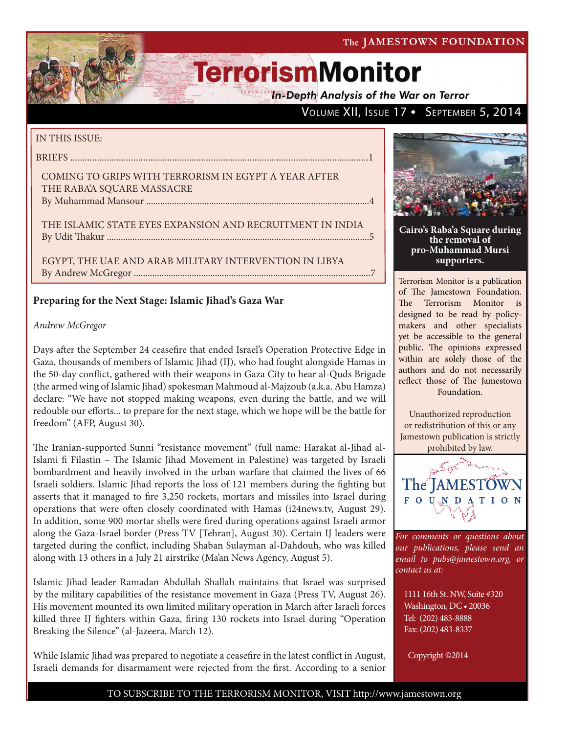The JAMESTOWN FOUNDATION

# **TerrorismMonitor**

In-Depth Analysis of the War on Terror

### VOLUME XII, ISSUE 17 + SEPTEMBER 5, 2014

### IN THIS ISSUE:

briefs ...........................................................................................................................1

coming to grips with terrorism in egypt a year after THE RABA'A SOUARE MASSACRE By Muhammad Mansour ................................................................................................4

the islamic state eyes expansion and recruitment in india by Udit Thakur .................................................................................................................5

Egypt, the uae and arab military intervention in libya By Andrew McGregor ......................................................................................................7

### **Preparing for the Next Stage: Islamic Jihad's Gaza War**

### *Andrew McGregor*

Days after the September 24 ceasefire that ended Israel's Operation Protective Edge in Gaza, thousands of members of Islamic Jihad (IJ), who had fought alongside Hamas in the 50-day conflict, gathered with their weapons in Gaza City to hear al-Quds Brigade (the armed wing of Islamic Jihad) spokesman Mahmoud al-Majzoub (a.k.a. Abu Hamza) declare: "We have not stopped making weapons, even during the battle, and we will redouble our efforts... to prepare for the next stage, which we hope will be the battle for freedom" (AFP, August 30).

The Iranian-supported Sunni "resistance movement" (full name: Harakat al-Jihad al-Islami fi Filastin – The Islamic Jihad Movement in Palestine) was targeted by Israeli bombardment and heavily involved in the urban warfare that claimed the lives of 66 Israeli soldiers. Islamic Jihad reports the loss of 121 members during the fighting but asserts that it managed to fire 3,250 rockets, mortars and missiles into Israel during operations that were often closely coordinated with Hamas (i24news.tv, August 29). In addition, some 900 mortar shells were fired during operations against Israeli armor along the Gaza-Israel border (Press TV [Tehran], August 30). Certain IJ leaders were targeted during the conflict, including Shaban Sulayman al-Dahdouh, who was killed along with 13 others in a July 21 airstrike (Ma'an News Agency, August 5).

Islamic Jihad leader Ramadan Abdullah Shallah maintains that Israel was surprised by the military capabilities of the resistance movement in Gaza (Press TV, August 26). His movement mounted its own limited military operation in March after Israeli forces killed three IJ fighters within Gaza, firing 130 rockets into Israel during "Operation Breaking the Silence" (al-Jazeera, March 12).

While Islamic Jihad was prepared to negotiate a ceasefire in the latest conflict in August, Israeli demands for disarmament were rejected from the first. According to a senior



**Cairo's Raba'a Square during the removal of pro-Muhammad Mursi supporters.**

Terrorism Monitor is a publication of The Jamestown Foundation. The Terrorism Monitor is designed to be read by policymakers and other specialists yet be accessible to the general public. The opinions expressed within are solely those of the authors and do not necessarily reflect those of The Jamestown Foundation.

Unauthorized reproduction or redistribution of this or any Jamestown publication is strictly prohibited by law.



*For comments or questions about our publications, please send an email to pubs@jamestown.org, or contact us at:* 

1111 16th St. NW, Suite #320 Washington, DC • 20036 Tel: (202) 483-8888 Fax: (202) 483-8337

Copyright ©2014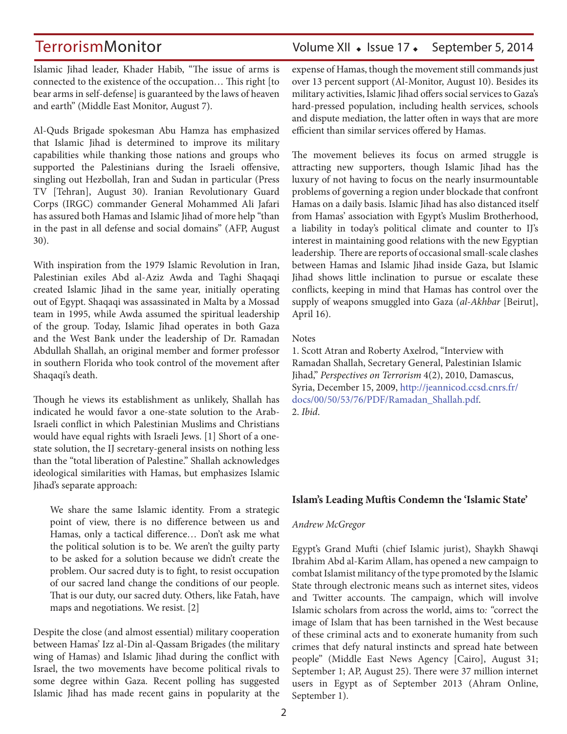Islamic Jihad leader, Khader Habib, "The issue of arms is connected to the existence of the occupation… This right [to bear arms in self-defense] is guaranteed by the laws of heaven and earth" (Middle East Monitor, August 7).

Al-Quds Brigade spokesman Abu Hamza has emphasized that Islamic Jihad is determined to improve its military capabilities while thanking those nations and groups who supported the Palestinians during the Israeli offensive, singling out Hezbollah, Iran and Sudan in particular (Press TV [Tehran], August 30). Iranian Revolutionary Guard Corps (IRGC) commander General Mohammed Ali Jafari has assured both Hamas and Islamic Jihad of more help "than in the past in all defense and social domains" (AFP, August 30).

With inspiration from the 1979 Islamic Revolution in Iran, Palestinian exiles Abd al-Aziz Awda and Taghi Shaqaqi created Islamic Jihad in the same year, initially operating out of Egypt. Shaqaqi was assassinated in Malta by a Mossad team in 1995, while Awda assumed the spiritual leadership of the group. Today, Islamic Jihad operates in both Gaza and the West Bank under the leadership of Dr. Ramadan Abdullah Shallah, an original member and former professor in southern Florida who took control of the movement after Shaqaqi's death.

Though he views its establishment as unlikely, Shallah has indicated he would favor a one-state solution to the Arab-Israeli conflict in which Palestinian Muslims and Christians would have equal rights with Israeli Jews. [1] Short of a onestate solution, the IJ secretary-general insists on nothing less than the "total liberation of Palestine." Shallah acknowledges ideological similarities with Hamas, but emphasizes Islamic Jihad's separate approach:

We share the same Islamic identity. From a strategic point of view, there is no difference between us and Hamas, only a tactical difference… Don't ask me what the political solution is to be. We aren't the guilty party to be asked for a solution because we didn't create the problem. Our sacred duty is to fight, to resist occupation of our sacred land change the conditions of our people. That is our duty, our sacred duty. Others, like Fatah, have maps and negotiations. We resist. [2]

Despite the close (and almost essential) military cooperation between Hamas' Izz al-Din al-Qassam Brigades (the military wing of Hamas) and Islamic Jihad during the conflict with Israel, the two movements have become political rivals to some degree within Gaza. Recent polling has suggested Islamic Jihad has made recent gains in popularity at the

### TerrorismMonitor Volume XII • Issue 17 • September 5, 2014

expense of Hamas, though the movement still commands just over 13 percent support (Al-Monitor, August 10). Besides its military activities, Islamic Jihad offers social services to Gaza's hard-pressed population, including health services, schools and dispute mediation, the latter often in ways that are more efficient than similar services offered by Hamas.

The movement believes its focus on armed struggle is attracting new supporters, though Islamic Jihad has the luxury of not having to focus on the nearly insurmountable problems of governing a region under blockade that confront Hamas on a daily basis. Islamic Jihad has also distanced itself from Hamas' association with Egypt's Muslim Brotherhood, a liability in today's political climate and counter to IJ's interest in maintaining good relations with the new Egyptian leadership. There are reports of occasional small-scale clashes between Hamas and Islamic Jihad inside Gaza, but Islamic Jihad shows little inclination to pursue or escalate these conflicts, keeping in mind that Hamas has control over the supply of weapons smuggled into Gaza (*al-Akhbar* [Beirut], April 16).

#### Notes

1. Scott Atran and Roberty Axelrod, "Interview with Ramadan Shallah, Secretary General, Palestinian Islamic Jihad," *Perspectives on Terrorism* 4(2), 2010, Damascus, Syria, December 15, 2009, http://jeannicod.ccsd.cnrs.fr/ docs/00/50/53/76/PDF/Ramadan\_Shallah.pdf. 2. *Ibid*.

#### **Islam's Leading Muftis Condemn the 'Islamic State'**

#### *Andrew McGregor*

Egypt's Grand Mufti (chief Islamic jurist), Shaykh Shawqi Ibrahim Abd al-Karim Allam, has opened a new campaign to combat Islamist militancy of the type promoted by the Islamic State through electronic means such as internet sites, videos and Twitter accounts. The campaign, which will involve Islamic scholars from across the world, aims to*: "*correct the image of Islam that has been tarnished in the West because of these criminal acts and to exonerate humanity from such crimes that defy natural instincts and spread hate between people" (Middle East News Agency [Cairo], August 31; September 1; AP, August 25). There were 37 million internet users in Egypt as of September 2013 (Ahram Online, September 1).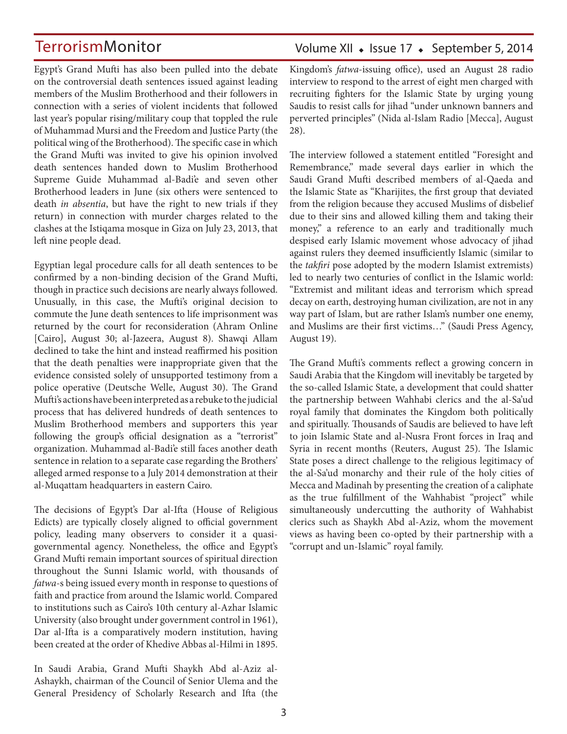Egypt's Grand Mufti has also been pulled into the debate on the controversial death sentences issued against leading members of the Muslim Brotherhood and their followers in connection with a series of violent incidents that followed last year's popular rising/military coup that toppled the rule of Muhammad Mursi and the Freedom and Justice Party (the political wing of the Brotherhood). The specific case in which the Grand Mufti was invited to give his opinion involved death sentences handed down to Muslim Brotherhood Supreme Guide Muhammad al-Badi'e and seven other Brotherhood leaders in June (six others were sentenced to death *in absentia*, but have the right to new trials if they return) in connection with murder charges related to the clashes at the Istiqama mosque in Giza on July 23, 2013, that left nine people dead.

Egyptian legal procedure calls for all death sentences to be confirmed by a non-binding decision of the Grand Mufti, though in practice such decisions are nearly always followed. Unusually, in this case, the Mufti's original decision to commute the June death sentences to life imprisonment was returned by the court for reconsideration (Ahram Online [Cairo], August 30; al-Jazeera, August 8). Shawqi Allam declined to take the hint and instead reaffirmed his position that the death penalties were inappropriate given that the evidence consisted solely of unsupported testimony from a police operative (Deutsche Welle, August 30). The Grand Mufti's actions have been interpreted as a rebuke to the judicial process that has delivered hundreds of death sentences to Muslim Brotherhood members and supporters this year following the group's official designation as a "terrorist" organization. Muhammad al-Badi'e still faces another death sentence in relation to a separate case regarding the Brothers' alleged armed response to a July 2014 demonstration at their al-Muqattam headquarters in eastern Cairo.

The decisions of Egypt's Dar al-Ifta (House of Religious Edicts) are typically closely aligned to official government policy, leading many observers to consider it a quasigovernmental agency. Nonetheless, the office and Egypt's Grand Mufti remain important sources of spiritual direction throughout the Sunni Islamic world, with thousands of *fatwa*-s being issued every month in response to questions of faith and practice from around the Islamic world. Compared to institutions such as Cairo's 10th century al-Azhar Islamic University (also brought under government control in 1961), Dar al-Ifta is a comparatively modern institution, having been created at the order of Khedive Abbas al-Hilmi in 1895.

In Saudi Arabia, Grand Mufti Shaykh Abd al-Aziz al-Ashaykh, chairman of the Council of Senior Ulema and the General Presidency of Scholarly Research and Ifta (the

### Volume XII • Issue 17 • September 5, 2014

Kingdom's *fatwa*-issuing office), used an August 28 radio interview to respond to the arrest of eight men charged with recruiting fighters for the Islamic State by urging young Saudis to resist calls for jihad "under unknown banners and perverted principles" (Nida al-Islam Radio [Mecca], August 28).

The interview followed a statement entitled "Foresight and Remembrance," made several days earlier in which the Saudi Grand Mufti described members of al-Qaeda and the Islamic State as "Kharijites, the first group that deviated from the religion because they accused Muslims of disbelief due to their sins and allowed killing them and taking their money," a reference to an early and traditionally much despised early Islamic movement whose advocacy of jihad against rulers they deemed insufficiently Islamic (similar to the *takfiri* pose adopted by the modern Islamist extremists) led to nearly two centuries of conflict in the Islamic world: "Extremist and militant ideas and terrorism which spread decay on earth, destroying human civilization, are not in any way part of Islam, but are rather Islam's number one enemy, and Muslims are their first victims…" (Saudi Press Agency, August 19).

The Grand Mufti's comments reflect a growing concern in Saudi Arabia that the Kingdom will inevitably be targeted by the so-called Islamic State, a development that could shatter the partnership between Wahhabi clerics and the al-Sa'ud royal family that dominates the Kingdom both politically and spiritually. Thousands of Saudis are believed to have left to join Islamic State and al-Nusra Front forces in Iraq and Syria in recent months (Reuters, August 25). The Islamic State poses a direct challenge to the religious legitimacy of the al-Sa'ud monarchy and their rule of the holy cities of Mecca and Madinah by presenting the creation of a caliphate as the true fulfillment of the Wahhabist "project" while simultaneously undercutting the authority of Wahhabist clerics such as Shaykh Abd al-Aziz, whom the movement views as having been co-opted by their partnership with a "corrupt and un-Islamic" royal family.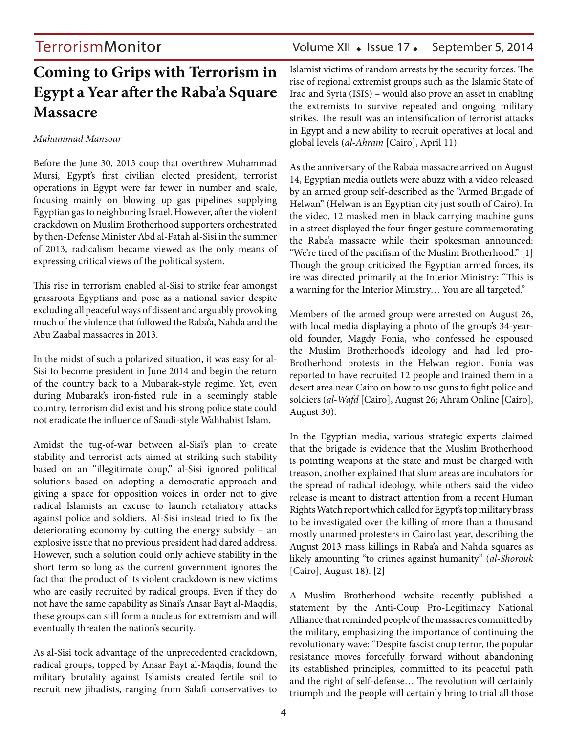## **Coming to Grips with Terrorism in Egypt a Year after the Raba'a Square Massacre**

### *Muhammad Mansour*

Before the June 30, 2013 coup that overthrew Muhammad Mursi, Egypt's first civilian elected president, terrorist operations in Egypt were far fewer in number and scale, focusing mainly on blowing up gas pipelines supplying Egyptian gas to neighboring Israel. However, after the violent crackdown on Muslim Brotherhood supporters orchestrated by then-Defense Minister Abd al-Fatah al-Sisi in the summer of 2013, radicalism became viewed as the only means of expressing critical views of the political system.

This rise in terrorism enabled al-Sisi to strike fear amongst grassroots Egyptians and pose as a national savior despite excluding all peaceful ways of dissent and arguably provoking much of the violence that followed the Raba'a, Nahda and the Abu Zaabal massacres in 2013.

In the midst of such a polarized situation, it was easy for al-Sisi to become president in June 2014 and begin the return of the country back to a Mubarak-style regime. Yet, even during Mubarak's iron-fisted rule in a seemingly stable country, terrorism did exist and his strong police state could not eradicate the influence of Saudi-style Wahhabist Islam.

Amidst the tug-of-war between al-Sisi's plan to create stability and terrorist acts aimed at striking such stability based on an "illegitimate coup," al-Sisi ignored political solutions based on adopting a democratic approach and giving a space for opposition voices in order not to give radical Islamists an excuse to launch retaliatory attacks against police and soldiers. Al-Sisi instead tried to fix the deteriorating economy by cutting the energy subsidy – an explosive issue that no previous president had dared address. However, such a solution could only achieve stability in the short term so long as the current government ignores the fact that the product of its violent crackdown is new victims who are easily recruited by radical groups. Even if they do not have the same capability as Sinai's Ansar Bayt al-Maqdis, these groups can still form a nucleus for extremism and will eventually threaten the nation's security.

As al-Sisi took advantage of the unprecedented crackdown, radical groups, topped by Ansar Bayt al-Maqdis, found the military brutality against Islamists created fertile soil to recruit new jihadists, ranging from Salafi conservatives to

### TerrorismMonitor Volume XII • Issue 17 • September 5, 2014

Islamist victims of random arrests by the security forces. The rise of regional extremist groups such as the Islamic State of Iraq and Syria (ISIS) – would also prove an asset in enabling the extremists to survive repeated and ongoing military strikes. The result was an intensification of terrorist attacks in Egypt and a new ability to recruit operatives at local and global levels (*al-Ahram* [Cairo], April 11).

As the anniversary of the Raba'a massacre arrived on August 14, Egyptian media outlets were abuzz with a video released by an armed group self-described as the "Armed Brigade of Helwan" (Helwan is an Egyptian city just south of Cairo). In the video, 12 masked men in black carrying machine guns in a street displayed the four-finger gesture commemorating the Raba'a massacre while their spokesman announced: "We're tired of the pacifism of the Muslim Brotherhood." [1] Though the group criticized the Egyptian armed forces, its ire was directed primarily at the Interior Ministry: "This is a warning for the Interior Ministry… You are all targeted."

Members of the armed group were arrested on August 26, with local media displaying a photo of the group's 34-yearold founder, Magdy Fonia, who confessed he espoused the Muslim Brotherhood's ideology and had led pro-Brotherhood protests in the Helwan region. Fonia was reported to have recruited 12 people and trained them in a desert area near Cairo on how to use guns to fight police and soldiers (*al-Wafd* [Cairo], August 26; Ahram Online [Cairo], August 30).

In the Egyptian media, various strategic experts claimed that the brigade is evidence that the Muslim Brotherhood is pointing weapons at the state and must be charged with treason, another explained that slum areas are incubators for the spread of radical ideology, while others said the video release is meant to distract attention from a recent Human Rights Watch report which called for Egypt's top military brass to be investigated over the killing of more than a thousand mostly unarmed protesters in Cairo last year, describing the August 2013 mass killings in Raba'a and Nahda squares as likely amounting "to crimes against humanity" (*al-Shorouk* [Cairo], August 18). [2]

A Muslim Brotherhood website recently published a statement by the Anti-Coup Pro-Legitimacy National Alliance that reminded people of the massacres committed by the military, emphasizing the importance of continuing the revolutionary wave: "Despite fascist coup terror, the popular resistance moves forcefully forward without abandoning its established principles, committed to its peaceful path and the right of self-defense… The revolution will certainly triumph and the people will certainly bring to trial all those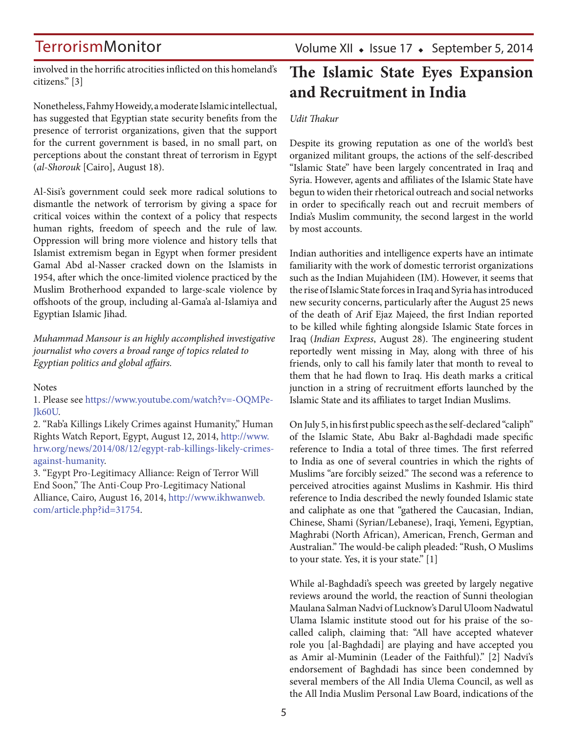involved in the horrific atrocities inflicted on this homeland's citizens." [3]

Nonetheless, Fahmy Howeidy, a moderate Islamic intellectual, has suggested that Egyptian state security benefits from the presence of terrorist organizations, given that the support for the current government is based, in no small part, on perceptions about the constant threat of terrorism in Egypt (*al-Shorouk* [Cairo], August 18).

Al-Sisi's government could seek more radical solutions to dismantle the network of terrorism by giving a space for critical voices within the context of a policy that respects human rights, freedom of speech and the rule of law. Oppression will bring more violence and history tells that Islamist extremism began in Egypt when former president Gamal Abd al-Nasser cracked down on the Islamists in 1954, after which the once-limited violence practiced by the Muslim Brotherhood expanded to large-scale violence by offshoots of the group, including al-Gama'a al-Islamiya and Egyptian Islamic Jihad.

*Muhammad Mansour is an highly accomplished investigative journalist who covers a broad range of topics related to Egyptian politics and global affairs.*

**Notes** 

1. Please see https://www.youtube.com/watch?v=-OQMPe-Jk60U.

2. "Rab'a Killings Likely Crimes against Humanity," Human Rights Watch Report, Egypt, August 12, 2014, http://www. hrw.org/news/2014/08/12/egypt-rab-killings-likely-crimesagainst-humanity.

3. "Egypt Pro-Legitimacy Alliance: Reign of Terror Will End Soon," The Anti-Coup Pro-Legitimacy National Alliance, Cairo, August 16, 2014, http://www.ikhwanweb. com/article.php?id=31754.

## **The Islamic State Eyes Expansion and Recruitment in India**

#### *Udit Thakur*

Despite its growing reputation as one of the world's best organized militant groups, the actions of the self-described "Islamic State" have been largely concentrated in Iraq and Syria. However, agents and affiliates of the Islamic State have begun to widen their rhetorical outreach and social networks in order to specifically reach out and recruit members of India's Muslim community, the second largest in the world by most accounts.

Indian authorities and intelligence experts have an intimate familiarity with the work of domestic terrorist organizations such as the Indian Mujahideen (IM). However, it seems that the rise of Islamic State forces in Iraq and Syria has introduced new security concerns, particularly after the August 25 news of the death of Arif Ejaz Majeed, the first Indian reported to be killed while fighting alongside Islamic State forces in Iraq (*Indian Express*, August 28). The engineering student reportedly went missing in May, along with three of his friends, only to call his family later that month to reveal to them that he had flown to Iraq. His death marks a critical junction in a string of recruitment efforts launched by the Islamic State and its affiliates to target Indian Muslims.

On July 5, in his first public speech as the self-declared "caliph" of the Islamic State, Abu Bakr al-Baghdadi made specific reference to India a total of three times. The first referred to India as one of several countries in which the rights of Muslims "are forcibly seized." The second was a reference to perceived atrocities against Muslims in Kashmir. His third reference to India described the newly founded Islamic state and caliphate as one that "gathered the Caucasian, Indian, Chinese, Shami (Syrian/Lebanese), Iraqi, Yemeni, Egyptian, Maghrabi (North African), American, French, German and Australian." The would-be caliph pleaded: "Rush, O Muslims to your state. Yes, it is your state." [1]

While al-Baghdadi's speech was greeted by largely negative reviews around the world, the reaction of Sunni theologian Maulana Salman Nadvi of Lucknow's Darul Uloom Nadwatul Ulama Islamic institute stood out for his praise of the socalled caliph, claiming that: "All have accepted whatever role you [al-Baghdadi] are playing and have accepted you as Amir al-Muminin (Leader of the Faithful)." [2] Nadvi's endorsement of Baghdadi has since been condemned by several members of the All India Ulema Council, as well as the All India Muslim Personal Law Board, indications of the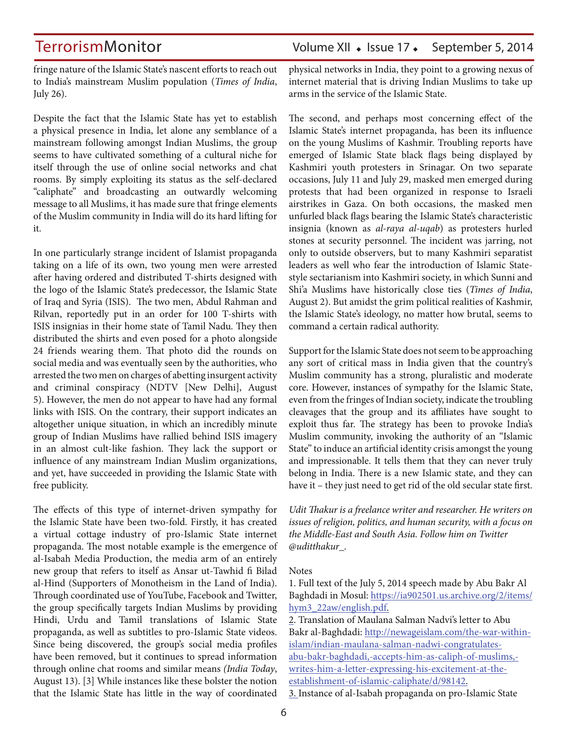fringe nature of the Islamic State's nascent efforts to reach out to India's mainstream Muslim population (*Times of India*, July 26).

Despite the fact that the Islamic State has yet to establish a physical presence in India, let alone any semblance of a mainstream following amongst Indian Muslims, the group seems to have cultivated something of a cultural niche for itself through the use of online social networks and chat rooms. By simply exploiting its status as the self-declared "caliphate" and broadcasting an outwardly welcoming message to all Muslims, it has made sure that fringe elements of the Muslim community in India will do its hard lifting for it.

In one particularly strange incident of Islamist propaganda taking on a life of its own, two young men were arrested after having ordered and distributed T-shirts designed with the logo of the Islamic State's predecessor, the Islamic State of Iraq and Syria (ISIS). The two men, Abdul Rahman and Rilvan, reportedly put in an order for 100 T-shirts with ISIS insignias in their home state of Tamil Nadu. They then distributed the shirts and even posed for a photo alongside 24 friends wearing them. That photo did the rounds on social media and was eventually seen by the authorities, who arrested the two men on charges of abetting insurgent activity and criminal conspiracy (NDTV [New Delhi], August 5). However, the men do not appear to have had any formal links with ISIS. On the contrary, their support indicates an altogether unique situation, in which an incredibly minute group of Indian Muslims have rallied behind ISIS imagery in an almost cult-like fashion. They lack the support or influence of any mainstream Indian Muslim organizations, and yet, have succeeded in providing the Islamic State with free publicity.

The effects of this type of internet-driven sympathy for the Islamic State have been two-fold. Firstly, it has created a virtual cottage industry of pro-Islamic State internet propaganda. The most notable example is the emergence of al-Isabah Media Production, the media arm of an entirely new group that refers to itself as Ansar ut-Tawhid fi Bilad al-Hind (Supporters of Monotheism in the Land of India). Through coordinated use of YouTube, Facebook and Twitter, the group specifically targets Indian Muslims by providing Hindi, Urdu and Tamil translations of Islamic State propaganda, as well as subtitles to pro-Islamic State videos. Since being discovered, the group's social media profiles have been removed, but it continues to spread information through online chat rooms and similar means *(India Today*, August 13). [3] While instances like these bolster the notion that the Islamic State has little in the way of coordinated

physical networks in India, they point to a growing nexus of internet material that is driving Indian Muslims to take up arms in the service of the Islamic State.

The second, and perhaps most concerning effect of the Islamic State's internet propaganda, has been its influence on the young Muslims of Kashmir. Troubling reports have emerged of Islamic State black flags being displayed by Kashmiri youth protesters in Srinagar. On two separate occasions, July 11 and July 29, masked men emerged during protests that had been organized in response to Israeli airstrikes in Gaza. On both occasions, the masked men unfurled black flags bearing the Islamic State's characteristic insignia (known as *al-raya al-uqab*) as protesters hurled stones at security personnel. The incident was jarring, not only to outside observers, but to many Kashmiri separatist leaders as well who fear the introduction of Islamic Statestyle sectarianism into Kashmiri society, in which Sunni and Shi'a Muslims have historically close ties (*Times of India*, August 2). But amidst the grim political realities of Kashmir, the Islamic State's ideology, no matter how brutal, seems to command a certain radical authority.

Support for the Islamic State does not seem to be approaching any sort of critical mass in India given that the country's Muslim community has a strong, pluralistic and moderate core. However, instances of sympathy for the Islamic State, even from the fringes of Indian society, indicate the troubling cleavages that the group and its affiliates have sought to exploit thus far. The strategy has been to provoke India's Muslim community, invoking the authority of an "Islamic State" to induce an artificial identity crisis amongst the young and impressionable. It tells them that they can never truly belong in India. There is a new Islamic state, and they can have it – they just need to get rid of the old secular state first.

*Udit Thakur is a freelance writer and researcher. He writers on issues of religion, politics, and human security, with a focus on the Middle-East and South Asia. Follow him on Twitter @uditthakur\_.*

#### **Notes**

2. Translation of Maulana Salman Nadvi's letter to Abu Bakr al-Baghdadi: http://newageislam.com/the-war-withinislam/indian-maulana-salman-nadwi-congratulatesabu-bakr-baghdadi,-accepts-him-as-caliph-of-muslims, writes-him-a-letter-expressing-his-excitement-at-theestablishment-of-islamic-caliphate/d/98142.

3. Instance of al-Isabah propaganda on pro-Islamic State

<sup>1.</sup> Full text of the July 5, 2014 speech made by Abu Bakr Al Baghdadi in Mosul: https://ia902501.us.archive.org/2/items/ hym3\_22aw/english.pdf.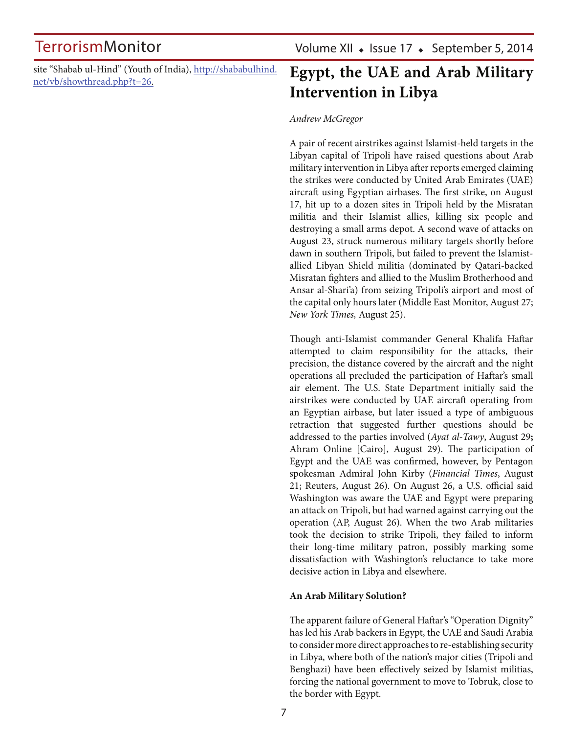site "Shabab ul-Hind" (Youth of India), http://shababulhind.

## site "Shabab ul-Hind" (Youth of India), http://shababulhind. Egypt, the UAE and Arab Military net/vb/showthread.php?t=26. **Intervention in Libya**

#### *Andrew McGregor*

A pair of recent airstrikes against Islamist-held targets in the Libyan capital of Tripoli have raised questions about Arab military intervention in Libya after reports emerged claiming the strikes were conducted by United Arab Emirates (UAE) aircraft using Egyptian airbases. The first strike, on August 17, hit up to a dozen sites in Tripoli held by the Misratan militia and their Islamist allies, killing six people and destroying a small arms depot. A second wave of attacks on August 23, struck numerous military targets shortly before dawn in southern Tripoli, but failed to prevent the Islamistallied Libyan Shield militia (dominated by Qatari-backed Misratan fighters and allied to the Muslim Brotherhood and Ansar al-Shari'a) from seizing Tripoli's airport and most of the capital only hours later (Middle East Monitor, August 27; *New York Times,* August 25).

Though anti-Islamist commander General Khalifa Haftar attempted to claim responsibility for the attacks, their precision, the distance covered by the aircraft and the night operations all precluded the participation of Haftar's small air element. The U.S. State Department initially said the airstrikes were conducted by UAE aircraft operating from an Egyptian airbase, but later issued a type of ambiguous retraction that suggested further questions should be addressed to the parties involved (*Ayat al-Tawy*, August 29**;**  Ahram Online [Cairo], August 29). The participation of Egypt and the UAE was confirmed, however, by Pentagon spokesman Admiral John Kirby (*Financial Times*, August 21; Reuters, August 26). On August 26, a U.S. official said Washington was aware the UAE and Egypt were preparing an attack on Tripoli, but had warned against carrying out the operation (AP, August 26). When the two Arab militaries took the decision to strike Tripoli, they failed to inform their long-time military patron, possibly marking some dissatisfaction with Washington's reluctance to take more decisive action in Libya and elsewhere.

#### **An Arab Military Solution?**

The apparent failure of General Haftar's "Operation Dignity" has led his Arab backers in Egypt, the UAE and Saudi Arabia to consider more direct approaches to re-establishing security in Libya, where both of the nation's major cities (Tripoli and Benghazi) have been effectively seized by Islamist militias, forcing the national government to move to Tobruk, close to the border with Egypt.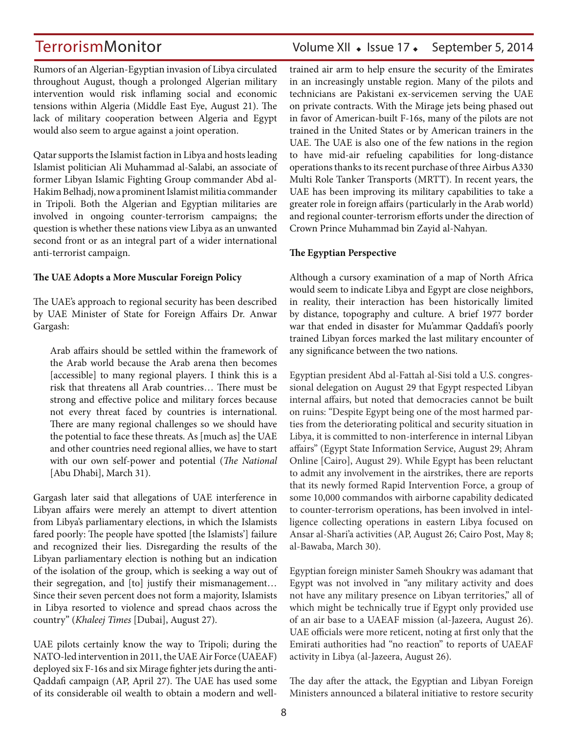Rumors of an Algerian-Egyptian invasion of Libya circulated throughout August, though a prolonged Algerian military intervention would risk inflaming social and economic tensions within Algeria (Middle East Eye, August 21). The lack of military cooperation between Algeria and Egypt would also seem to argue against a joint operation.

Qatar supports the Islamist faction in Libya and hosts leading Islamist politician Ali Muhammad al-Salabi, an associate of former Libyan Islamic Fighting Group commander Abd al-Hakim Belhadj, now a prominent Islamist militia commander in Tripoli. Both the Algerian and Egyptian militaries are involved in ongoing counter-terrorism campaigns; the question is whether these nations view Libya as an unwanted second front or as an integral part of a wider international anti-terrorist campaign.

#### **The UAE Adopts a More Muscular Foreign Policy**

The UAE's approach to regional security has been described by UAE Minister of State for Foreign Affairs Dr. Anwar Gargash:

Arab affairs should be settled within the framework of the Arab world because the Arab arena then becomes [accessible] to many regional players. I think this is a risk that threatens all Arab countries… There must be strong and effective police and military forces because not every threat faced by countries is international. There are many regional challenges so we should have the potential to face these threats. As [much as] the UAE and other countries need regional allies, we have to start with our own self-power and potential (*The National* [Abu Dhabi], March 31).

Gargash later said that allegations of UAE interference in Libyan affairs were merely an attempt to divert attention from Libya's parliamentary elections, in which the Islamists fared poorly: The people have spotted [the Islamists'] failure and recognized their lies. Disregarding the results of the Libyan parliamentary election is nothing but an indication of the isolation of the group, which is seeking a way out of their segregation, and [to] justify their mismanagement… Since their seven percent does not form a majority, Islamists in Libya resorted to violence and spread chaos across the country" (*Khaleej Times* [Dubai], August 27).

UAE pilots certainly know the way to Tripoli; during the NATO-led intervention in 2011, the UAE Air Force (UAEAF) deployed six F-16s and six Mirage fighter jets during the anti-Qaddafi campaign (AP, April 27). The UAE has used some of its considerable oil wealth to obtain a modern and well-

### TerrorismMonitor Volume XII • Issue 17 • September 5, 2014

trained air arm to help ensure the security of the Emirates in an increasingly unstable region. Many of the pilots and technicians are Pakistani ex-servicemen serving the UAE on private contracts. With the Mirage jets being phased out in favor of American-built F-16s, many of the pilots are not trained in the United States or by American trainers in the UAE. The UAE is also one of the few nations in the region to have mid-air refueling capabilities for long-distance operations thanks to its recent purchase of three Airbus A330 Multi Role Tanker Transports (MRTT). In recent years, the UAE has been improving its military capabilities to take a greater role in foreign affairs (particularly in the Arab world) and regional counter-terrorism efforts under the direction of Crown Prince Muhammad bin Zayid al-Nahyan.

#### **The Egyptian Perspective**

Although a cursory examination of a map of North Africa would seem to indicate Libya and Egypt are close neighbors, in reality, their interaction has been historically limited by distance, topography and culture. A brief 1977 border war that ended in disaster for Mu'ammar Qaddafi's poorly trained Libyan forces marked the last military encounter of any significance between the two nations.

Egyptian president Abd al-Fattah al-Sisi told a U.S. congressional delegation on August 29 that Egypt respected Libyan internal affairs, but noted that democracies cannot be built on ruins: "Despite Egypt being one of the most harmed parties from the deteriorating political and security situation in Libya, it is committed to non-interference in internal Libyan affairs" (Egypt State Information Service, August 29; Ahram Online [Cairo], August 29). While Egypt has been reluctant to admit any involvement in the airstrikes, there are reports that its newly formed Rapid Intervention Force, a group of some 10,000 commandos with airborne capability dedicated to counter-terrorism operations, has been involved in intelligence collecting operations in eastern Libya focused on Ansar al-Shari'a activities (AP, August 26; Cairo Post, May 8; al-Bawaba, March 30).

Egyptian foreign minister Sameh Shoukry was adamant that Egypt was not involved in "any military activity and does not have any military presence on Libyan territories," all of which might be technically true if Egypt only provided use of an air base to a UAEAF mission (al-Jazeera, August 26). UAE officials were more reticent, noting at first only that the Emirati authorities had "no reaction" to reports of UAEAF activity in Libya (al-Jazeera, August 26).

The day after the attack, the Egyptian and Libyan Foreign Ministers announced a bilateral initiative to restore security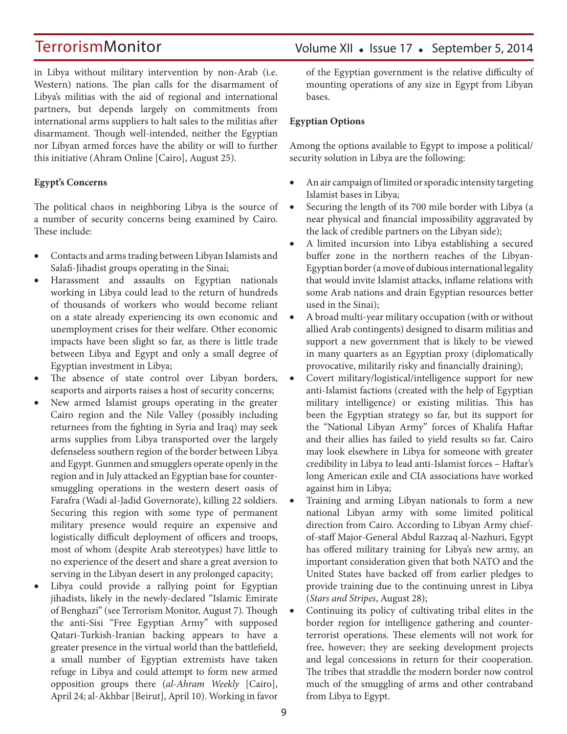in Libya without military intervention by non-Arab (i.e. Western) nations. The plan calls for the disarmament of Libya's militias with the aid of regional and international partners, but depends largely on commitments from international arms suppliers to halt sales to the militias after disarmament. Though well-intended, neither the Egyptian nor Libyan armed forces have the ability or will to further this initiative (Ahram Online [Cairo], August 25).

### **Egypt's Concerns**

The political chaos in neighboring Libya is the source of a number of security concerns being examined by Cairo. These include:

- Contacts and arms trading between Libyan Islamists and Salafi-Jihadist groups operating in the Sinai;
- • Harassment and assaults on Egyptian nationals working in Libya could lead to the return of hundreds of thousands of workers who would become reliant on a state already experiencing its own economic and unemployment crises for their welfare. Other economic impacts have been slight so far, as there is little trade between Libya and Egypt and only a small degree of Egyptian investment in Libya;
- The absence of state control over Libyan borders, seaports and airports raises a host of security concerns;
- New armed Islamist groups operating in the greater Cairo region and the Nile Valley (possibly including returnees from the fighting in Syria and Iraq) may seek arms supplies from Libya transported over the largely defenseless southern region of the border between Libya and Egypt. Gunmen and smugglers operate openly in the region and in July attacked an Egyptian base for countersmuggling operations in the western desert oasis of Farafra (Wadi al-Jadid Governorate), killing 22 soldiers. Securing this region with some type of permanent military presence would require an expensive and logistically difficult deployment of officers and troops, most of whom (despite Arab stereotypes) have little to no experience of the desert and share a great aversion to serving in the Libyan desert in any prolonged capacity;
- Libya could provide a rallying point for Egyptian jihadists, likely in the newly-declared "Islamic Emirate of Benghazi" (see Terrorism Monitor, August 7). Though the anti-Sisi "Free Egyptian Army" with supposed Qatari-Turkish-Iranian backing appears to have a greater presence in the virtual world than the battlefield, a small number of Egyptian extremists have taken refuge in Libya and could attempt to form new armed opposition groups there (*al-Ahram Weekly* [Cairo], April 24; al-Akhbar [Beirut], April 10). Working in favor

### Volume XII · Issue 17 · September 5, 2014

of the Egyptian government is the relative difficulty of mounting operations of any size in Egypt from Libyan bases.

#### **Egyptian Options**

Among the options available to Egypt to impose a political/ security solution in Libya are the following:

- An air campaign of limited or sporadic intensity targeting Islamist bases in Libya;
- Securing the length of its 700 mile border with Libya (a near physical and financial impossibility aggravated by the lack of credible partners on the Libyan side);
- • A limited incursion into Libya establishing a secured buffer zone in the northern reaches of the Libyan-Egyptian border (a move of dubious international legality that would invite Islamist attacks, inflame relations with some Arab nations and drain Egyptian resources better used in the Sinai);
- A broad multi-year military occupation (with or without allied Arab contingents) designed to disarm militias and support a new government that is likely to be viewed in many quarters as an Egyptian proxy (diplomatically provocative, militarily risky and financially draining);
- Covert military/logistical/intelligence support for new anti-Islamist factions (created with the help of Egyptian military intelligence) or existing militias. This has been the Egyptian strategy so far, but its support for the "National Libyan Army" forces of Khalifa Haftar and their allies has failed to yield results so far. Cairo may look elsewhere in Libya for someone with greater credibility in Libya to lead anti-Islamist forces – Haftar's long American exile and CIA associations have worked against him in Libya;
- Training and arming Libyan nationals to form a new national Libyan army with some limited political direction from Cairo. According to Libyan Army chiefof-staff Major-General Abdul Razzaq al-Nazhuri, Egypt has offered military training for Libya's new army, an important consideration given that both NATO and the United States have backed off from earlier pledges to provide training due to the continuing unrest in Libya (*Stars and Stripes*, August 28);
- Continuing its policy of cultivating tribal elites in the border region for intelligence gathering and counterterrorist operations. These elements will not work for free, however; they are seeking development projects and legal concessions in return for their cooperation. The tribes that straddle the modern border now control much of the smuggling of arms and other contraband from Libya to Egypt.